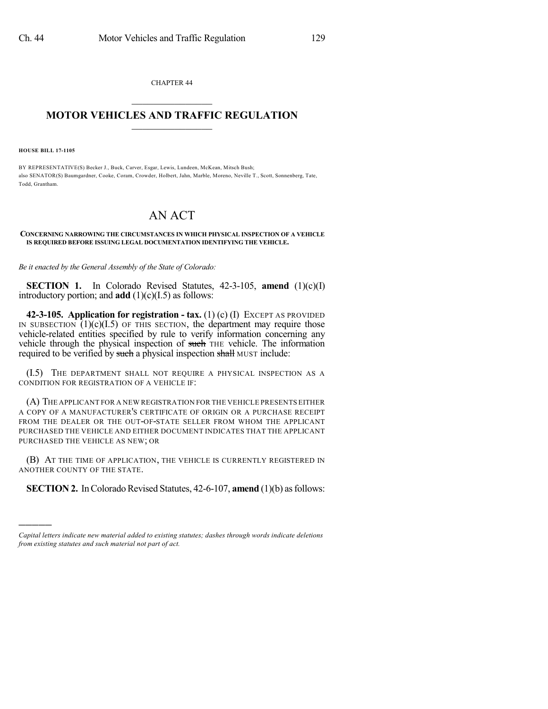CHAPTER 44  $\overline{\phantom{a}}$  . The set of the set of the set of the set of the set of the set of the set of the set of the set of the set of the set of the set of the set of the set of the set of the set of the set of the set of the set o

## **MOTOR VEHICLES AND TRAFFIC REGULATION**  $\frac{1}{2}$  ,  $\frac{1}{2}$  ,  $\frac{1}{2}$  ,  $\frac{1}{2}$  ,  $\frac{1}{2}$  ,  $\frac{1}{2}$  ,  $\frac{1}{2}$

**HOUSE BILL 17-1105**

)))))

BY REPRESENTATIVE(S) Becker J., Buck, Carver, Esgar, Lewis, Lundeen, McKean, Mitsch Bush; also SENATOR(S) Baumgardner, Cooke, Coram, Crowder, Holbert, Jahn, Marble, Moreno, Neville T., Scott, Sonnenberg, Tate, Todd, Grantham.

## AN ACT

## **CONCERNING NARROWING THE CIRCUMSTANCES IN WHICH PHYSICAL INSPECTION OF A VEHICLE IS REQUIRED BEFORE ISSUING LEGAL DOCUMENTATION IDENTIFYING THE VEHICLE.**

*Be it enacted by the General Assembly of the State of Colorado:*

**SECTION 1.** In Colorado Revised Statutes, 42-3-105, **amend** (1)(c)(I) introductory portion; and **add** (1)(c)(I.5) as follows:

**42-3-105. Application for registration - tax.** (1) (c) (I) EXCEPT AS PROVIDED IN SUBSECTION  $(1)(c)(I.5)$  OF THIS SECTION, the department may require those vehicle-related entities specified by rule to verify information concerning any vehicle through the physical inspection of such THE vehicle. The information required to be verified by such a physical inspection shall MUST include:

(I.5) THE DEPARTMENT SHALL NOT REQUIRE A PHYSICAL INSPECTION AS A CONDITION FOR REGISTRATION OF A VEHICLE IF:

(A) THE APPLICANT FOR A NEW REGISTRATION FOR THE VEHICLE PRESENTS EITHER A COPY OF A MANUFACTURER'S CERTIFICATE OF ORIGIN OR A PURCHASE RECEIPT FROM THE DEALER OR THE OUT-OF-STATE SELLER FROM WHOM THE APPLICANT PURCHASED THE VEHICLE AND EITHER DOCUMENT INDICATES THAT THE APPLICANT PURCHASED THE VEHICLE AS NEW; OR

(B) AT THE TIME OF APPLICATION, THE VEHICLE IS CURRENTLY REGISTERED IN ANOTHER COUNTY OF THE STATE.

**SECTION 2.** In Colorado Revised Statutes, 42-6-107, **amend** (1)(b) as follows:

*Capital letters indicate new material added to existing statutes; dashes through words indicate deletions from existing statutes and such material not part of act.*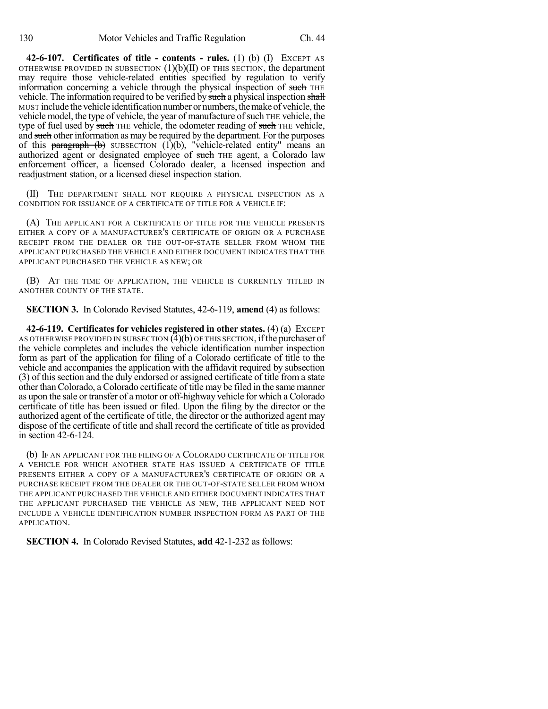**42-6-107. Certificates of title - contents - rules.** (1) (b) (I) EXCEPT AS OTHERWISE PROVIDED IN SUBSECTION  $(1)(b)(II)$  OF THIS SECTION, the department may require those vehicle-related entities specified by regulation to verify information concerning a vehicle through the physical inspection of such THE vehicle. The information required to be verified by such a physical inspection shall MUST include the vehicle identification number or numbers,themake of vehicle, the vehicle model, the type of vehicle, the year of manufacture of such THE vehicle, the type of fuel used by such THE vehicle, the odometer reading of such THE vehicle, and such other information as may be required by the department. For the purposes of this **paragraph** (b) SUBSECTION (1)(b), "vehicle-related entity" means an authorized agent or designated employee of such THE agent, a Colorado law enforcement officer, a licensed Colorado dealer, a licensed inspection and readjustment station, or a licensed diesel inspection station.

(II) THE DEPARTMENT SHALL NOT REQUIRE A PHYSICAL INSPECTION AS A CONDITION FOR ISSUANCE OF A CERTIFICATE OF TITLE FOR A VEHICLE IF:

(A) THE APPLICANT FOR A CERTIFICATE OF TITLE FOR THE VEHICLE PRESENTS EITHER A COPY OF A MANUFACTURER'S CERTIFICATE OF ORIGIN OR A PURCHASE RECEIPT FROM THE DEALER OR THE OUT-OF-STATE SELLER FROM WHOM THE APPLICANT PURCHASED THE VEHICLE AND EITHER DOCUMENT INDICATES THAT THE APPLICANT PURCHASED THE VEHICLE AS NEW; OR

(B) AT THE TIME OF APPLICATION, THE VEHICLE IS CURRENTLY TITLED IN ANOTHER COUNTY OF THE STATE.

**SECTION 3.** In Colorado Revised Statutes, 42-6-119, **amend** (4) as follows:

**42-6-119. Certificates for vehicles registered in other states.** (4) (a) EXCEPT AS OTHERWISE PROVIDED IN SUBSECTION  $(4)(b)$  OF THIS SECTION, if the purchaser of the vehicle completes and includes the vehicle identification number inspection form as part of the application for filing of a Colorado certificate of title to the vehicle and accompanies the application with the affidavit required by subsection (3) of this section and the duly endorsed or assigned certificate of title from a state other thanColorado, a Colorado certificate of title may be filed in the same manner as upon the sale or transfer of a motor or off-highway vehicle for which a Colorado certificate of title has been issued or filed. Upon the filing by the director or the authorized agent of the certificate of title, the director or the authorized agent may dispose of the certificate of title and shall record the certificate of title as provided in section 42-6-124.

(b) IF AN APPLICANT FOR THE FILING OF A COLORADO CERTIFICATE OF TITLE FOR A VEHICLE FOR WHICH ANOTHER STATE HAS ISSUED A CERTIFICATE OF TITLE PRESENTS EITHER A COPY OF A MANUFACTURER'S CERTIFICATE OF ORIGIN OR A PURCHASE RECEIPT FROM THE DEALER OR THE OUT-OF-STATE SELLER FROM WHOM THE APPLICANT PURCHASED THE VEHICLE AND EITHER DOCUMENT INDICATES THAT THE APPLICANT PURCHASED THE VEHICLE AS NEW, THE APPLICANT NEED NOT INCLUDE A VEHICLE IDENTIFICATION NUMBER INSPECTION FORM AS PART OF THE APPLICATION.

**SECTION 4.** In Colorado Revised Statutes, **add** 42-1-232 as follows: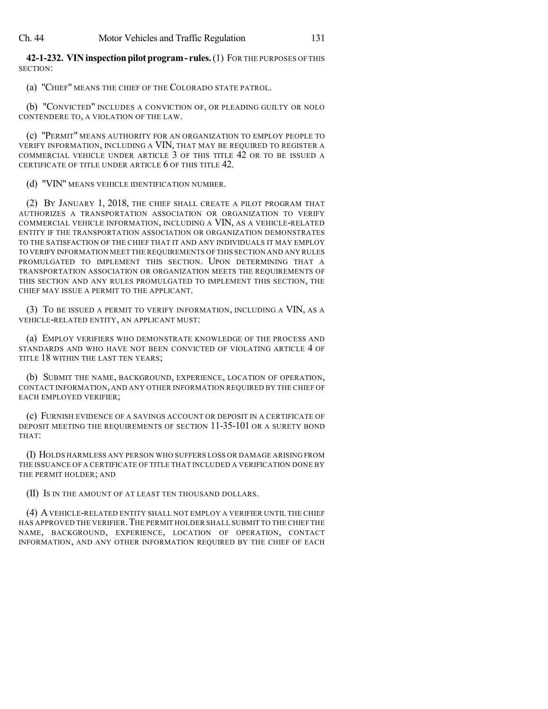**42-1-232. VINinspectionpilotprogram- rules.**(1) FOR THE PURPOSES OF THIS SECTION:

(a) "CHIEF" MEANS THE CHIEF OF THE COLORADO STATE PATROL.

(b) "CONVICTED" INCLUDES A CONVICTION OF, OR PLEADING GUILTY OR NOLO CONTENDERE TO, A VIOLATION OF THE LAW.

(c) "PERMIT" MEANS AUTHORITY FOR AN ORGANIZATION TO EMPLOY PEOPLE TO VERIFY INFORMATION, INCLUDING A VIN, THAT MAY BE REQUIRED TO REGISTER A COMMERCIAL VEHICLE UNDER ARTICLE 3 OF THIS TITLE 42 OR TO BE ISSUED A CERTIFICATE OF TITLE UNDER ARTICLE 6 OF THIS TITLE 42.

(d) "VIN" MEANS VEHICLE IDENTIFICATION NUMBER.

(2) BY JANUARY 1, 2018, THE CHIEF SHALL CREATE A PILOT PROGRAM THAT AUTHORIZES A TRANSPORTATION ASSOCIATION OR ORGANIZATION TO VERIFY COMMERCIAL VEHICLE INFORMATION, INCLUDING A VIN, AS A VEHICLE-RELATED ENTITY IF THE TRANSPORTATION ASSOCIATION OR ORGANIZATION DEMONSTRATES TO THE SATISFACTION OF THE CHIEF THAT IT AND ANY INDIVIDUALS IT MAY EMPLOY TO VERIFY INFORMATION MEET THE REQUIREMENTS OF THIS SECTION AND ANY RULES PROMULGATED TO IMPLEMENT THIS SECTION. UPON DETERMINING THAT A TRANSPORTATION ASSOCIATION OR ORGANIZATION MEETS THE REQUIREMENTS OF THIS SECTION AND ANY RULES PROMULGATED TO IMPLEMENT THIS SECTION, THE CHIEF MAY ISSUE A PERMIT TO THE APPLICANT.

(3) TO BE ISSUED A PERMIT TO VERIFY INFORMATION, INCLUDING A VIN, AS A VEHICLE-RELATED ENTITY, AN APPLICANT MUST:

(a) EMPLOY VERIFIERS WHO DEMONSTRATE KNOWLEDGE OF THE PROCESS AND STANDARDS AND WHO HAVE NOT BEEN CONVICTED OF VIOLATING ARTICLE 4 OF TITLE 18 WITHIN THE LAST TEN YEARS;

(b) SUBMIT THE NAME, BACKGROUND, EXPERIENCE, LOCATION OF OPERATION, CONTACT INFORMATION, AND ANY OTHER INFORMATION REQUIRED BY THE CHIEF OF EACH EMPLOYED VERIFIER;

(c) FURNISH EVIDENCE OF A SAVINGS ACCOUNT OR DEPOSIT IN A CERTIFICATE OF DEPOSIT MEETING THE REQUIREMENTS OF SECTION 11-35-101 OR A SURETY BOND THAT:

(I) HOLDS HARMLESS ANY PERSON WHO SUFFERS LOSS OR DAMAGE ARISING FROM THE ISSUANCE OF A CERTIFICATE OF TITLE THAT INCLUDED A VERIFICATION DONE BY THE PERMIT HOLDER; AND

(II) IS IN THE AMOUNT OF AT LEAST TEN THOUSAND DOLLARS.

(4) AVEHICLE-RELATED ENTITY SHALL NOT EMPLOY A VERIFIER UNTIL THE CHIEF HAS APPROVED THE VERIFIER.THE PERMIT HOLDER SHALL SUBMIT TO THE CHIEF THE NAME, BACKGROUND, EXPERIENCE, LOCATION OF OPERATION, CONTACT INFORMATION, AND ANY OTHER INFORMATION REQUIRED BY THE CHIEF OF EACH